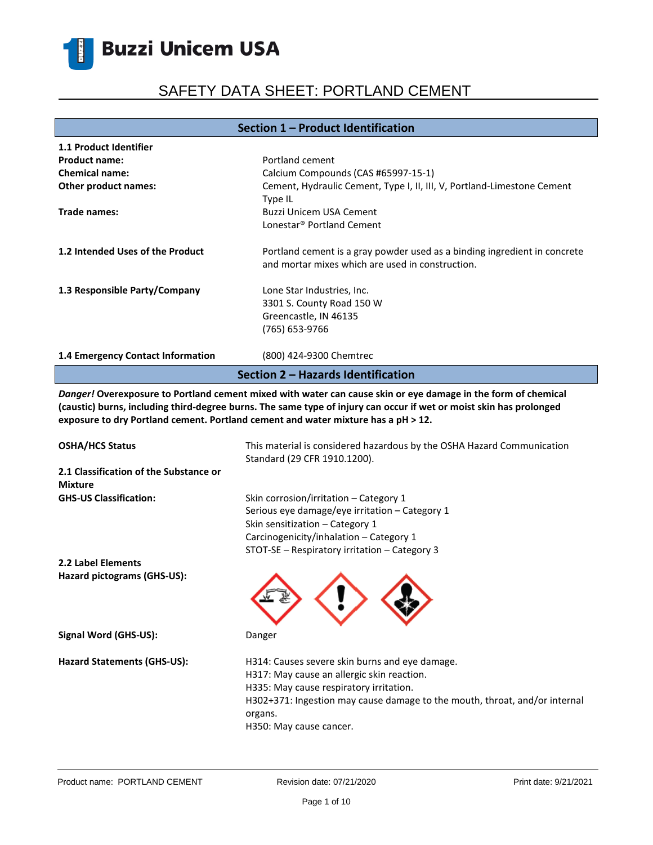# SAFETY DATA SHEET: PORTLAND CEMENT

### **Section 1 – Product Identification**

| <b>1.1 Product Identifier</b>      |                                                                           |  |
|------------------------------------|---------------------------------------------------------------------------|--|
| <b>Product name:</b>               | Portland cement                                                           |  |
| <b>Chemical name:</b>              | Calcium Compounds (CAS #65997-15-1)                                       |  |
| Other product names:               | Cement, Hydraulic Cement, Type I, II, III, V, Portland-Limestone Cement   |  |
|                                    | Type IL                                                                   |  |
| Trade names:                       | Buzzi Unicem USA Cement                                                   |  |
|                                    | Lonestar <sup>®</sup> Portland Cement                                     |  |
| 1.2 Intended Uses of the Product   | Portland cement is a gray powder used as a binding ingredient in concrete |  |
|                                    | and mortar mixes which are used in construction.                          |  |
| 1.3 Responsible Party/Company      | Lone Star Industries, Inc.                                                |  |
|                                    | 3301 S. County Road 150 W                                                 |  |
|                                    | Greencastle, IN 46135                                                     |  |
|                                    | (765) 653-9766                                                            |  |
| 1.4 Emergency Contact Information  | (800) 424-9300 Chemtrec                                                   |  |
| Section 2 – Hazards Identification |                                                                           |  |

*Danger!* **Overexposure to Portland cement mixed with water can cause skin or eye damage in the form of chemical (caustic) burns, including third-degree burns. The same type of injury can occur if wet or moist skin has prolonged exposure to dry Portland cement. Portland cement and water mixture has a pH ˃ 12.**

| <b>OSHA/HCS Status</b>                                   | This material is considered hazardous by the OSHA Hazard Communication<br>Standard (29 CFR 1910.1200).                                                                                                                                                      |
|----------------------------------------------------------|-------------------------------------------------------------------------------------------------------------------------------------------------------------------------------------------------------------------------------------------------------------|
| 2.1 Classification of the Substance or<br><b>Mixture</b> |                                                                                                                                                                                                                                                             |
| <b>GHS-US Classification:</b>                            | Skin corrosion/irritation - Category 1<br>Serious eye damage/eye irritation - Category 1<br>Skin sensitization - Category 1<br>Carcinogenicity/inhalation - Category 1<br>STOT-SE - Respiratory irritation - Category 3                                     |
| 2.2 Label Elements                                       |                                                                                                                                                                                                                                                             |
| Hazard pictograms (GHS-US):                              |                                                                                                                                                                                                                                                             |
| Signal Word (GHS-US):                                    | Danger                                                                                                                                                                                                                                                      |
| Hazard Statements (GHS-US):                              | H314: Causes severe skin burns and eye damage.<br>H317: May cause an allergic skin reaction.<br>H335: May cause respiratory irritation.<br>H302+371: Ingestion may cause damage to the mouth, throat, and/or internal<br>organs.<br>H350: May cause cancer. |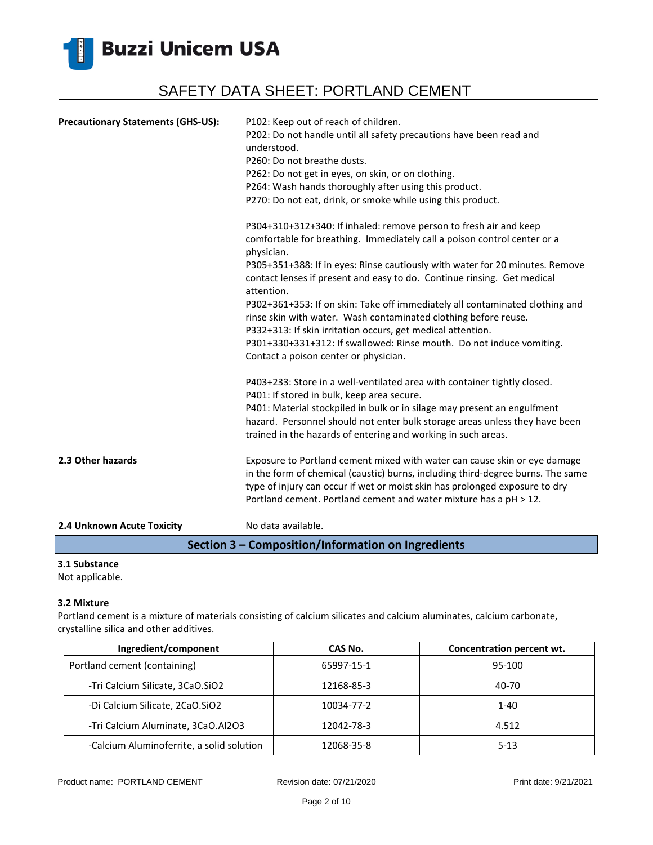

| <b>Precautionary Statements (GHS-US):</b> | P102: Keep out of reach of children.<br>P202: Do not handle until all safety precautions have been read and<br>understood.<br>P260: Do not breathe dusts.<br>P262: Do not get in eyes, on skin, or on clothing.<br>P264: Wash hands thoroughly after using this product.<br>P270: Do not eat, drink, or smoke while using this product.                                                                                  |
|-------------------------------------------|--------------------------------------------------------------------------------------------------------------------------------------------------------------------------------------------------------------------------------------------------------------------------------------------------------------------------------------------------------------------------------------------------------------------------|
|                                           | P304+310+312+340: If inhaled: remove person to fresh air and keep<br>comfortable for breathing. Immediately call a poison control center or a<br>physician.<br>P305+351+388: If in eyes: Rinse cautiously with water for 20 minutes. Remove                                                                                                                                                                              |
|                                           | contact lenses if present and easy to do. Continue rinsing. Get medical<br>attention.<br>P302+361+353: If on skin: Take off immediately all contaminated clothing and<br>rinse skin with water. Wash contaminated clothing before reuse.<br>P332+313: If skin irritation occurs, get medical attention.<br>P301+330+331+312: If swallowed: Rinse mouth. Do not induce vomiting.<br>Contact a poison center or physician. |
|                                           | P403+233: Store in a well-ventilated area with container tightly closed.<br>P401: If stored in bulk, keep area secure.<br>P401: Material stockpiled in bulk or in silage may present an engulfment<br>hazard. Personnel should not enter bulk storage areas unless they have been<br>trained in the hazards of entering and working in such areas.                                                                       |
| 2.3 Other hazards                         | Exposure to Portland cement mixed with water can cause skin or eye damage<br>in the form of chemical (caustic) burns, including third-degree burns. The same<br>type of injury can occur if wet or moist skin has prolonged exposure to dry<br>Portland cement. Portland cement and water mixture has a pH > 12.                                                                                                         |
| 2.4 Unknown Acute Toxicity                | No data available.                                                                                                                                                                                                                                                                                                                                                                                                       |

**Section 3 – Composition/Information on Ingredients**

### **3.1 Substance**

Not applicable.

#### **3.2 Mixture**

Portland cement is a mixture of materials consisting of calcium silicates and calcium aluminates, calcium carbonate, crystalline silica and other additives.

| Ingredient/component                      | CAS No.    | Concentration percent wt. |
|-------------------------------------------|------------|---------------------------|
| Portland cement (containing)              | 65997-15-1 | 95-100                    |
| -Tri Calcium Silicate, 3CaO.SiO2          | 12168-85-3 | 40-70                     |
| -Di Calcium Silicate, 2CaO.SiO2           | 10034-77-2 | $1 - 40$                  |
| -Tri Calcium Aluminate, 3CaO.Al2O3        | 12042-78-3 | 4.512                     |
| -Calcium Aluminoferrite, a solid solution | 12068-35-8 | $5 - 13$                  |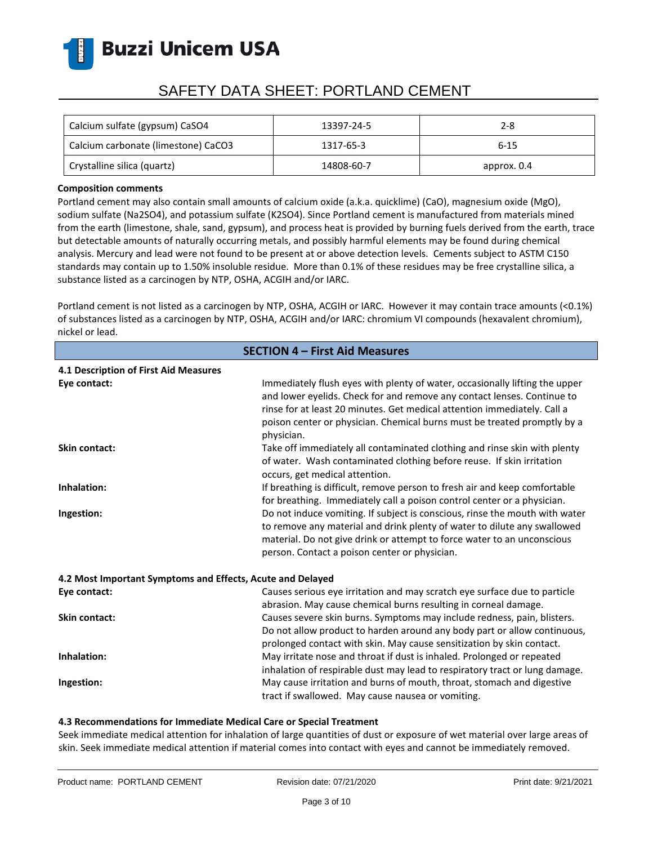

# SAFETY DATA SHEET: PORTLAND CEMENT

| Calcium sulfate (gypsum) CaSO4      | 13397-24-5 | 2-8         |
|-------------------------------------|------------|-------------|
| Calcium carbonate (limestone) CaCO3 | 1317-65-3  | $6 - 15$    |
| Crystalline silica (quartz)         | 14808-60-7 | approx. 0.4 |

### **Composition comments**

Portland cement may also contain small amounts of calcium oxide (a.k.a. quicklime) (CaO), magnesium oxide (MgO), sodium sulfate (Na2SO4), and potassium sulfate (K2SO4). Since Portland cement is manufactured from materials mined from the earth (limestone, shale, sand, gypsum), and process heat is provided by burning fuels derived from the earth, trace but detectable amounts of naturally occurring metals, and possibly harmful elements may be found during chemical analysis. Mercury and lead were not found to be present at or above detection levels. Cements subject to ASTM C150 standards may contain up to 1.50% insoluble residue. More than 0.1% of these residues may be free crystalline silica, a substance listed as a carcinogen by NTP, OSHA, ACGIH and/or IARC.

Portland cement is not listed as a carcinogen by NTP, OSHA, ACGIH or IARC. However it may contain trace amounts (<0.1%) of substances listed as a carcinogen by NTP, OSHA, ACGIH and/or IARC: chromium VI compounds (hexavalent chromium), nickel or lead.

| <b>SECTION 4 - First Aid Measures</b>                      |                                                                                                                                                                                                                                                                                                                              |  |
|------------------------------------------------------------|------------------------------------------------------------------------------------------------------------------------------------------------------------------------------------------------------------------------------------------------------------------------------------------------------------------------------|--|
| 4.1 Description of First Aid Measures                      |                                                                                                                                                                                                                                                                                                                              |  |
| Eye contact:                                               | Immediately flush eyes with plenty of water, occasionally lifting the upper<br>and lower eyelids. Check for and remove any contact lenses. Continue to<br>rinse for at least 20 minutes. Get medical attention immediately. Call a<br>poison center or physician. Chemical burns must be treated promptly by a<br>physician. |  |
| <b>Skin contact:</b>                                       | Take off immediately all contaminated clothing and rinse skin with plenty<br>of water. Wash contaminated clothing before reuse. If skin irritation<br>occurs, get medical attention.                                                                                                                                         |  |
| Inhalation:                                                | If breathing is difficult, remove person to fresh air and keep comfortable<br>for breathing. Immediately call a poison control center or a physician.                                                                                                                                                                        |  |
| Ingestion:                                                 | Do not induce vomiting. If subject is conscious, rinse the mouth with water<br>to remove any material and drink plenty of water to dilute any swallowed<br>material. Do not give drink or attempt to force water to an unconscious<br>person. Contact a poison center or physician.                                          |  |
| 4.2 Most Important Symptoms and Effects, Acute and Delayed |                                                                                                                                                                                                                                                                                                                              |  |
| Eye contact:                                               | Causes serious eye irritation and may scratch eye surface due to particle<br>abrasion. May cause chemical burns resulting in corneal damage.                                                                                                                                                                                 |  |
| <b>Skin contact:</b>                                       | Causes severe skin burns. Symptoms may include redness, pain, blisters.<br>Do not allow product to harden around any body part or allow continuous,<br>prolonged contact with skin. May cause sensitization by skin contact.                                                                                                 |  |
| Inhalation:                                                | May irritate nose and throat if dust is inhaled. Prolonged or repeated<br>inhalation of respirable dust may lead to respiratory tract or lung damage.                                                                                                                                                                        |  |
| Ingestion:                                                 | May cause irritation and burns of mouth, throat, stomach and digestive<br>tract if swallowed. May cause nausea or vomiting.                                                                                                                                                                                                  |  |

### **4.3 Recommendations for Immediate Medical Care or Special Treatment**

Seek immediate medical attention for inhalation of large quantities of dust or exposure of wet material over large areas of skin. Seek immediate medical attention if material comes into contact with eyes and cannot be immediately removed.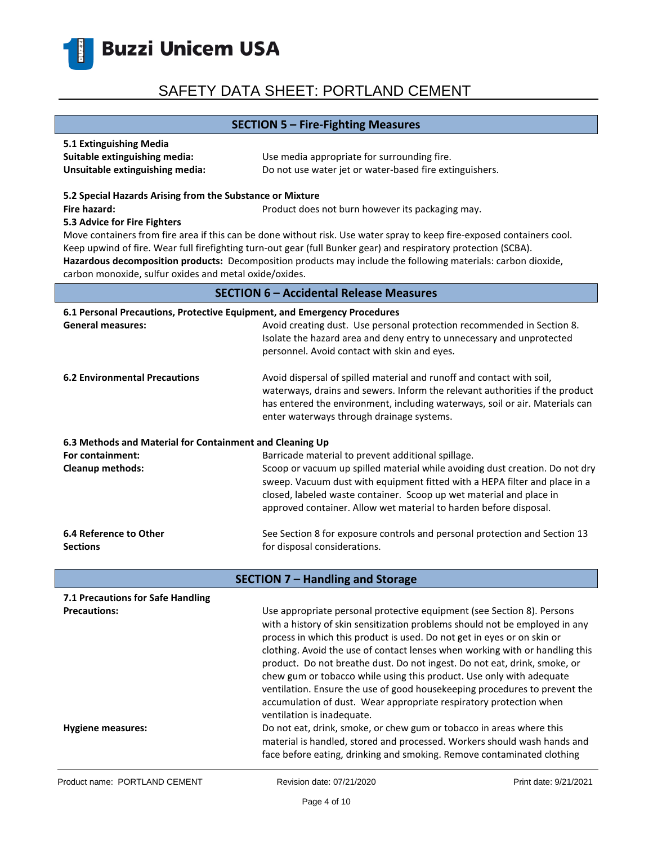

### **SECTION 5 – Fire-Fighting Measures**

| 5.1 Extinguishing Media         |                                                         |
|---------------------------------|---------------------------------------------------------|
| Suitable extinguishing media:   | Use media appropriate for surrounding fire.             |
| Unsuitable extinguishing media: | Do not use water jet or water-based fire extinguishers. |

#### **5.2 Special Hazards Arising from the Substance or Mixture**

**Fire hazard: Product does not burn however its packaging may.** Product does not burn however its packaging may.

#### **5.3 Advice for Fire Fighters**

Move containers from fire area if this can be done without risk. Use water spray to keep fire-exposed containers cool. Keep upwind of fire. Wear full firefighting turn-out gear (full Bunker gear) and respiratory protection (SCBA). **Hazardous decomposition products:** Decomposition products may include the following materials: carbon dioxide, carbon monoxide, sulfur oxides and metal oxide/oxides.

### **SECTION 6 – Accidental Release Measures**

| 6.1 Personal Precautions, Protective Equipment, and Emergency Procedures |                                                                                                                                                                                                                                                                                                                                                                                                                                                                                                                                                     |  |
|--------------------------------------------------------------------------|-----------------------------------------------------------------------------------------------------------------------------------------------------------------------------------------------------------------------------------------------------------------------------------------------------------------------------------------------------------------------------------------------------------------------------------------------------------------------------------------------------------------------------------------------------|--|
| <b>General measures:</b>                                                 | Avoid creating dust. Use personal protection recommended in Section 8.<br>Isolate the hazard area and deny entry to unnecessary and unprotected<br>personnel. Avoid contact with skin and eyes.                                                                                                                                                                                                                                                                                                                                                     |  |
| <b>6.2 Environmental Precautions</b>                                     | Avoid dispersal of spilled material and runoff and contact with soil,<br>waterways, drains and sewers. Inform the relevant authorities if the product<br>has entered the environment, including waterways, soil or air. Materials can<br>enter waterways through drainage systems.                                                                                                                                                                                                                                                                  |  |
| 6.3 Methods and Material for Containment and Cleaning Up                 |                                                                                                                                                                                                                                                                                                                                                                                                                                                                                                                                                     |  |
| For containment:<br><b>Cleanup methods:</b>                              | Barricade material to prevent additional spillage.<br>Scoop or vacuum up spilled material while avoiding dust creation. Do not dry<br>sweep. Vacuum dust with equipment fitted with a HEPA filter and place in a<br>closed, labeled waste container. Scoop up wet material and place in<br>approved container. Allow wet material to harden before disposal.                                                                                                                                                                                        |  |
| 6.4 Reference to Other<br><b>Sections</b>                                | See Section 8 for exposure controls and personal protection and Section 13<br>for disposal considerations.                                                                                                                                                                                                                                                                                                                                                                                                                                          |  |
|                                                                          | <b>SECTION 7 - Handling and Storage</b>                                                                                                                                                                                                                                                                                                                                                                                                                                                                                                             |  |
| 7.1 Precautions for Safe Handling                                        |                                                                                                                                                                                                                                                                                                                                                                                                                                                                                                                                                     |  |
| <b>Precautions:</b>                                                      | Use appropriate personal protective equipment (see Section 8). Persons<br>with a history of skin sensitization problems should not be employed in any<br>process in which this product is used. Do not get in eyes or on skin or<br>clothing. Avoid the use of contact lenses when working with or handling this<br>product. Do not breathe dust. Do not ingest. Do not eat, drink, smoke, or<br>chew gum or tobacco while using this product. Use only with adequate<br>ventilation. Ensure the use of good housekeeping procedures to prevent the |  |

**Hygiene measures:** Do not eat, drink, smoke, or chew gum or tobacco in areas where this

ventilation is inadequate.

accumulation of dust. Wear appropriate respiratory protection when

material is handled, stored and processed. Workers should wash hands and face before eating, drinking and smoking. Remove contaminated clothing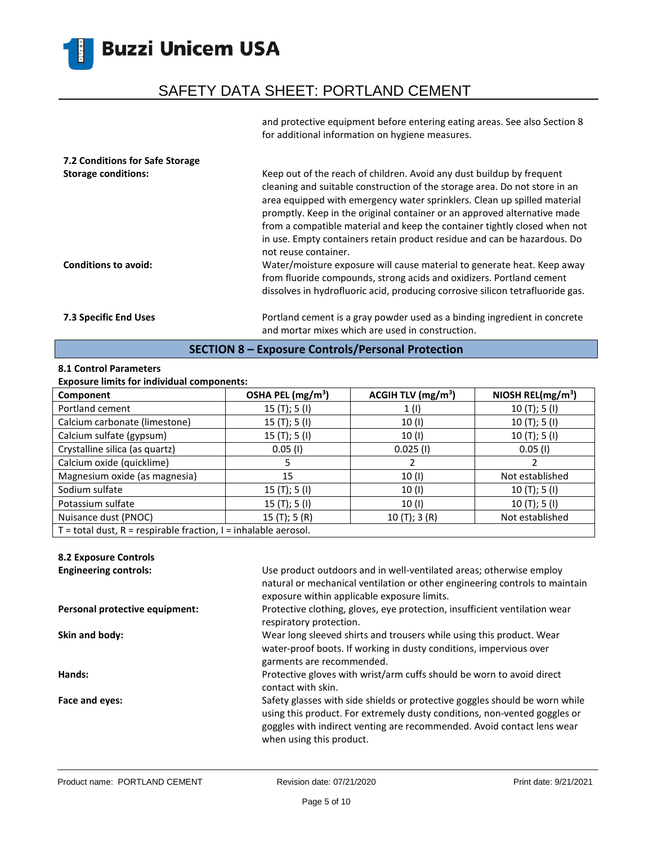## SAFETY DATA SHEET: PORTLAND CEMENT

and protective equipment before entering eating areas. See also Section 8 for additional information on hygiene measures.

| 7.2 Conditions for Safe Storage<br><b>Storage conditions:</b> | Keep out of the reach of children. Avoid any dust buildup by frequent<br>cleaning and suitable construction of the storage area. Do not store in an<br>area equipped with emergency water sprinklers. Clean up spilled material<br>promptly. Keep in the original container or an approved alternative made                                                                                                        |
|---------------------------------------------------------------|--------------------------------------------------------------------------------------------------------------------------------------------------------------------------------------------------------------------------------------------------------------------------------------------------------------------------------------------------------------------------------------------------------------------|
| <b>Conditions to avoid:</b>                                   | from a compatible material and keep the container tightly closed when not<br>in use. Empty containers retain product residue and can be hazardous. Do<br>not reuse container.<br>Water/moisture exposure will cause material to generate heat. Keep away<br>from fluoride compounds, strong acids and oxidizers. Portland cement<br>dissolves in hydrofluoric acid, producing corrosive silicon tetrafluoride gas. |
| <b>7.3 Specific End Uses</b>                                  | Portland cement is a gray powder used as a binding ingredient in concrete<br>and mortar mixes which are used in construction.                                                                                                                                                                                                                                                                                      |

### **SECTION 8 – Exposure Controls/Personal Protection**

### **8.1 Control Parameters**

### **Exposure limits for individual components:**

| Component                                                             | OSHA PEL (mg/m <sup>3</sup> ) | ACGIH TLV $(mg/m3)$ | NIOSH REL( $mg/m3$ ) |
|-----------------------------------------------------------------------|-------------------------------|---------------------|----------------------|
| Portland cement                                                       | 15(T); 5(I)                   | 1(1)                | 10(T); 5(I)          |
| Calcium carbonate (limestone)                                         | 15(T); 5(I)                   | 10 (I)              | 10(T); 5(I)          |
| Calcium sulfate (gypsum)                                              | 15(T); 5(I)                   | 10 (I)              | 10(T); 5(I)          |
| Crystalline silica (as quartz)                                        | $0.05$ (I)                    | $0.025$ (I)         | $0.05$ (I)           |
| Calcium oxide (quicklime)                                             |                               |                     |                      |
| Magnesium oxide (as magnesia)                                         | 15                            | 10(1)               | Not established      |
| Sodium sulfate                                                        | 15(T); 5(I)                   | 10(1)               | 10(T); 5(I)          |
| Potassium sulfate                                                     | 15(T); 5(I)                   | 10 (I)              | 10(T); 5(I)          |
| Nuisance dust (PNOC)                                                  | 15(T); 5(R)                   | 10(T); 3(R)         | Not established      |
| $T =$ total dust, $R =$ respirable fraction, $I =$ inhalable aerosol. |                               |                     |                      |

### **8.2 Exposure Controls**

| <b>Engineering controls:</b>   | Use product outdoors and in well-ventilated areas; otherwise employ<br>natural or mechanical ventilation or other engineering controls to maintain<br>exposure within applicable exposure limits.                                                              |
|--------------------------------|----------------------------------------------------------------------------------------------------------------------------------------------------------------------------------------------------------------------------------------------------------------|
| Personal protective equipment: | Protective clothing, gloves, eye protection, insufficient ventilation wear<br>respiratory protection.                                                                                                                                                          |
| Skin and body:                 | Wear long sleeved shirts and trousers while using this product. Wear<br>water-proof boots. If working in dusty conditions, impervious over<br>garments are recommended.                                                                                        |
| Hands:                         | Protective gloves with wrist/arm cuffs should be worn to avoid direct<br>contact with skin.                                                                                                                                                                    |
| Face and eyes:                 | Safety glasses with side shields or protective goggles should be worn while<br>using this product. For extremely dusty conditions, non-vented goggles or<br>goggles with indirect venting are recommended. Avoid contact lens wear<br>when using this product. |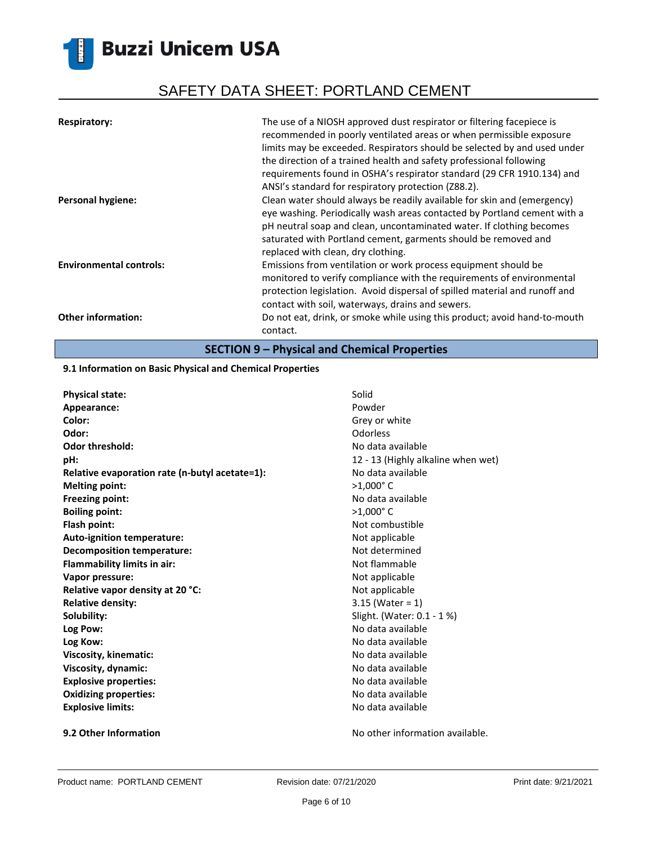# SAFETY DATA SHEET: PORTLAND CEMENT

| <b>Respiratory:</b>            | The use of a NIOSH approved dust respirator or filtering facepiece is<br>recommended in poorly ventilated areas or when permissible exposure<br>limits may be exceeded. Respirators should be selected by and used under<br>the direction of a trained health and safety professional following<br>requirements found in OSHA's respirator standard (29 CFR 1910.134) and<br>ANSI's standard for respiratory protection (Z88.2). |
|--------------------------------|----------------------------------------------------------------------------------------------------------------------------------------------------------------------------------------------------------------------------------------------------------------------------------------------------------------------------------------------------------------------------------------------------------------------------------|
| <b>Personal hygiene:</b>       | Clean water should always be readily available for skin and (emergency)<br>eye washing. Periodically wash areas contacted by Portland cement with a<br>pH neutral soap and clean, uncontaminated water. If clothing becomes<br>saturated with Portland cement, garments should be removed and<br>replaced with clean, dry clothing.                                                                                              |
| <b>Environmental controls:</b> | Emissions from ventilation or work process equipment should be<br>monitored to verify compliance with the requirements of environmental<br>protection legislation. Avoid dispersal of spilled material and runoff and<br>contact with soil, waterways, drains and sewers.                                                                                                                                                        |
| <b>Other information:</b>      | Do not eat, drink, or smoke while using this product; avoid hand-to-mouth<br>contact.                                                                                                                                                                                                                                                                                                                                            |

**SECTION 9 – Physical and Chemical Properties**

### **9.1 Information on Basic Physical and Chemical Properties**

| <b>Physical state:</b>                         | Solid                              |
|------------------------------------------------|------------------------------------|
| Appearance:                                    | Powder                             |
| Color:                                         | Grey or white                      |
| Odor:                                          | Odorless                           |
| <b>Odor threshold:</b>                         | No data available                  |
| pH:                                            | 12 - 13 (Highly alkaline when wet) |
| Relative evaporation rate (n-butyl acetate=1): | No data available                  |
| <b>Melting point:</b>                          | $>1,000$ °C                        |
| <b>Freezing point:</b>                         | No data available                  |
| <b>Boiling point:</b>                          | $>1,000$ °C                        |
| Flash point:                                   | Not combustible                    |
| Auto-ignition temperature:                     | Not applicable                     |
| <b>Decomposition temperature:</b>              | Not determined                     |
| <b>Flammability limits in air:</b>             | Not flammable                      |
| Vapor pressure:                                | Not applicable                     |
| Relative vapor density at 20 °C:               | Not applicable                     |
| <b>Relative density:</b>                       | $3.15$ (Water = 1)                 |
| Solubility:                                    | Slight. (Water: 0.1 - 1 %)         |
| Log Pow:                                       | No data available                  |
| Log Kow:                                       | No data available                  |
| Viscosity, kinematic:                          | No data available                  |
| Viscosity, dynamic:                            | No data available                  |
| <b>Explosive properties:</b>                   | No data available                  |
| <b>Oxidizing properties:</b>                   | No data available                  |
| <b>Explosive limits:</b>                       | No data available                  |
|                                                |                                    |

**9.2 Other Information 19.2 Other Information No other information available.**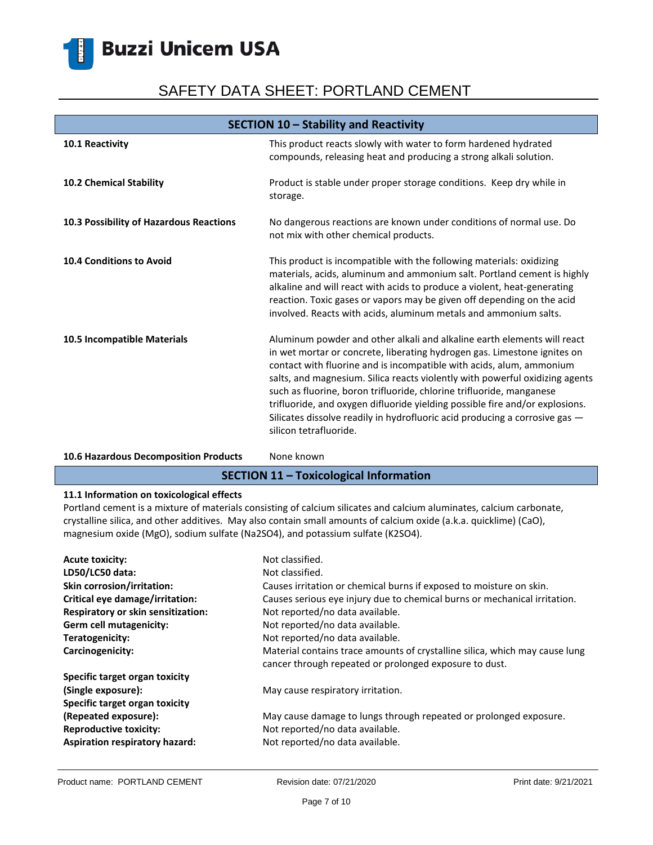# SAFETY DATA SHEET: PORTLAND CEMENT

| SECTION 10 - Stability and Reactivity   |                                                                                                                                                                                                                                                                                                                                                                                                                                                                                                                                                                              |
|-----------------------------------------|------------------------------------------------------------------------------------------------------------------------------------------------------------------------------------------------------------------------------------------------------------------------------------------------------------------------------------------------------------------------------------------------------------------------------------------------------------------------------------------------------------------------------------------------------------------------------|
| 10.1 Reactivity                         | This product reacts slowly with water to form hardened hydrated<br>compounds, releasing heat and producing a strong alkali solution.                                                                                                                                                                                                                                                                                                                                                                                                                                         |
| 10.2 Chemical Stability                 | Product is stable under proper storage conditions. Keep dry while in<br>storage.                                                                                                                                                                                                                                                                                                                                                                                                                                                                                             |
| 10.3 Possibility of Hazardous Reactions | No dangerous reactions are known under conditions of normal use. Do<br>not mix with other chemical products.                                                                                                                                                                                                                                                                                                                                                                                                                                                                 |
| <b>10.4 Conditions to Avoid</b>         | This product is incompatible with the following materials: oxidizing<br>materials, acids, aluminum and ammonium salt. Portland cement is highly<br>alkaline and will react with acids to produce a violent, heat-generating<br>reaction. Toxic gases or vapors may be given off depending on the acid<br>involved. Reacts with acids, aluminum metals and ammonium salts.                                                                                                                                                                                                    |
| 10.5 Incompatible Materials             | Aluminum powder and other alkali and alkaline earth elements will react<br>in wet mortar or concrete, liberating hydrogen gas. Limestone ignites on<br>contact with fluorine and is incompatible with acids, alum, ammonium<br>salts, and magnesium. Silica reacts violently with powerful oxidizing agents<br>such as fluorine, boron trifluoride, chlorine trifluoride, manganese<br>trifluoride, and oxygen difluoride yielding possible fire and/or explosions.<br>Silicates dissolve readily in hydrofluoric acid producing a corrosive gas -<br>silicon tetrafluoride. |

### 10.6 Hazardous Decomposition Products None known

### **SECTION 11 – Toxicological Information**

### **11.1 Information on toxicological effects**

Portland cement is a mixture of materials consisting of calcium silicates and calcium aluminates, calcium carbonate, crystalline silica, and other additives. May also contain small amounts of calcium oxide (a.k.a. quicklime) (CaO), magnesium oxide (MgO), sodium sulfate (Na2SO4), and potassium sulfate (K2SO4).

| <b>Acute toxicity:</b><br>LD50/LC50 data: | Not classified.<br>Not classified.                                                                                                    |
|-------------------------------------------|---------------------------------------------------------------------------------------------------------------------------------------|
| <b>Skin corrosion/irritation:</b>         | Causes irritation or chemical burns if exposed to moisture on skin.                                                                   |
| Critical eye damage/irritation:           | Causes serious eye injury due to chemical burns or mechanical irritation.                                                             |
| Respiratory or skin sensitization:        | Not reported/no data available.                                                                                                       |
| Germ cell mutagenicity:                   | Not reported/no data available.                                                                                                       |
| Teratogenicity:                           | Not reported/no data available.                                                                                                       |
| Carcinogenicity:                          | Material contains trace amounts of crystalline silica, which may cause lung<br>cancer through repeated or prolonged exposure to dust. |
| Specific target organ toxicity            |                                                                                                                                       |
| (Single exposure):                        | May cause respiratory irritation.                                                                                                     |
| Specific target organ toxicity            |                                                                                                                                       |
| (Repeated exposure):                      | May cause damage to lungs through repeated or prolonged exposure.                                                                     |
| <b>Reproductive toxicity:</b>             | Not reported/no data available.                                                                                                       |
| Aspiration respiratory hazard:            | Not reported/no data available.                                                                                                       |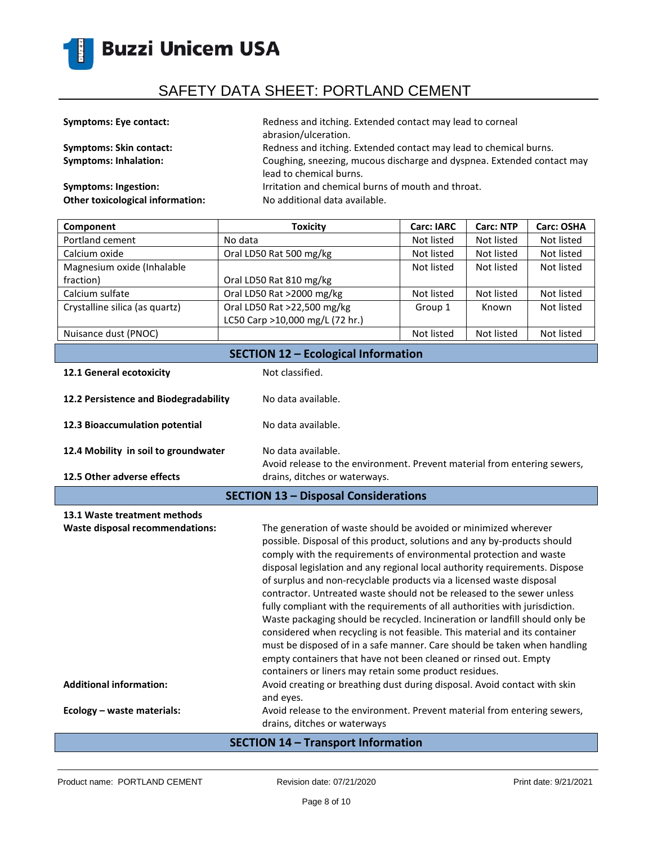

| <b>Symptoms: Eye contact:</b>           | Redness and itching. Extended contact may lead to corneal<br>abrasion/ulceration.                 |
|-----------------------------------------|---------------------------------------------------------------------------------------------------|
| <b>Symptoms: Skin contact:</b>          | Redness and itching. Extended contact may lead to chemical burns.                                 |
| <b>Symptoms: Inhalation:</b>            | Coughing, sneezing, mucous discharge and dyspnea. Extended contact may<br>lead to chemical burns. |
| Symptoms: Ingestion:                    | Irritation and chemical burns of mouth and throat.                                                |
| <b>Other toxicological information:</b> | No additional data available.                                                                     |

| Component                                  | <b>Toxicity</b>                 | <b>Carc: IARC</b> | <b>Carc: NTP</b> | <b>Carc: OSHA</b> |
|--------------------------------------------|---------------------------------|-------------------|------------------|-------------------|
| Portland cement                            | No data                         | Not listed        | Not listed       | Not listed        |
| Calcium oxide                              | Oral LD50 Rat 500 mg/kg         | Not listed        | Not listed       | Not listed        |
| Magnesium oxide (Inhalable                 |                                 | Not listed        | Not listed       | Not listed        |
| fraction)                                  | Oral LD50 Rat 810 mg/kg         |                   |                  |                   |
| Calcium sulfate                            | Oral LD50 Rat >2000 mg/kg       | Not listed        | Not listed       | Not listed        |
| Crystalline silica (as quartz)             | Oral LD50 Rat >22,500 mg/kg     | Group 1           | Known            | Not listed        |
|                                            | LC50 Carp >10,000 mg/L (72 hr.) |                   |                  |                   |
| Nuisance dust (PNOC)                       |                                 | Not listed        | Not listed       | Not listed        |
| <b>SECTION 12 - Ecological Information</b> |                                 |                   |                  |                   |

| 12.1 General ecotoxicity                    | Not classified.                                                                                |
|---------------------------------------------|------------------------------------------------------------------------------------------------|
| 12.2 Persistence and Biodegradability       | No data available.                                                                             |
| 12.3 Bioaccumulation potential              | No data available.                                                                             |
| 12.4 Mobility in soil to groundwater        | No data available.<br>Avoid release to the environment. Prevent material from entering sewers, |
| 12.5 Other adverse effects                  | drains, ditches or waterways.                                                                  |
| <b>SECTION 13 - Disposal Considerations</b> |                                                                                                |

| 13.1 Waste treatment methods<br>Waste disposal recommendations: | The generation of waste should be avoided or minimized wherever<br>possible. Disposal of this product, solutions and any by-products should<br>comply with the requirements of environmental protection and waste<br>disposal legislation and any regional local authority requirements. Dispose<br>of surplus and non-recyclable products via a licensed waste disposal<br>contractor. Untreated waste should not be released to the sewer unless<br>fully compliant with the requirements of all authorities with jurisdiction.<br>Waste packaging should be recycled. Incineration or landfill should only be<br>considered when recycling is not feasible. This material and its container<br>must be disposed of in a safe manner. Care should be taken when handling<br>empty containers that have not been cleaned or rinsed out. Empty<br>containers or liners may retain some product residues. |
|-----------------------------------------------------------------|----------------------------------------------------------------------------------------------------------------------------------------------------------------------------------------------------------------------------------------------------------------------------------------------------------------------------------------------------------------------------------------------------------------------------------------------------------------------------------------------------------------------------------------------------------------------------------------------------------------------------------------------------------------------------------------------------------------------------------------------------------------------------------------------------------------------------------------------------------------------------------------------------------|
| <b>Additional information:</b>                                  | Avoid creating or breathing dust during disposal. Avoid contact with skin<br>and eyes.                                                                                                                                                                                                                                                                                                                                                                                                                                                                                                                                                                                                                                                                                                                                                                                                                   |
| Ecology - waste materials:                                      | Avoid release to the environment. Prevent material from entering sewers,<br>drains, ditches or waterways                                                                                                                                                                                                                                                                                                                                                                                                                                                                                                                                                                                                                                                                                                                                                                                                 |

### **SECTION 14 – Transport Information**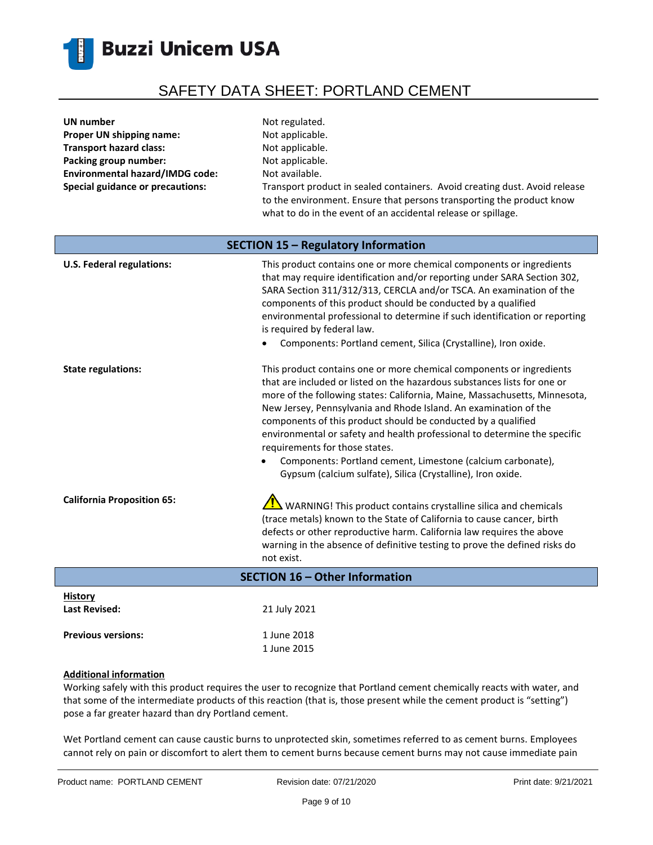

| <b>UN</b> number                        | Not regulated.                                                                                                                                                                                                       |
|-----------------------------------------|----------------------------------------------------------------------------------------------------------------------------------------------------------------------------------------------------------------------|
| Proper UN shipping name:                | Not applicable.                                                                                                                                                                                                      |
| <b>Transport hazard class:</b>          | Not applicable.                                                                                                                                                                                                      |
| Packing group number:                   | Not applicable.                                                                                                                                                                                                      |
| <b>Environmental hazard/IMDG code:</b>  | Not available.                                                                                                                                                                                                       |
| <b>Special guidance or precautions:</b> | Transport product in sealed containers. Avoid creating dust. Avoid release<br>to the environment. Ensure that persons transporting the product know<br>what to do in the event of an accidental release or spillage. |
| SECTION 15 - Regulatory Information     |                                                                                                                                                                                                                      |

| <b>U.S. Federal regulations:</b>       | This product contains one or more chemical components or ingredients<br>that may require identification and/or reporting under SARA Section 302,<br>SARA Section 311/312/313, CERCLA and/or TSCA. An examination of the<br>components of this product should be conducted by a qualified<br>environmental professional to determine if such identification or reporting<br>is required by federal law.<br>Components: Portland cement, Silica (Crystalline), Iron oxide.                                                                                                                                         |
|----------------------------------------|------------------------------------------------------------------------------------------------------------------------------------------------------------------------------------------------------------------------------------------------------------------------------------------------------------------------------------------------------------------------------------------------------------------------------------------------------------------------------------------------------------------------------------------------------------------------------------------------------------------|
| <b>State regulations:</b>              | This product contains one or more chemical components or ingredients<br>that are included or listed on the hazardous substances lists for one or<br>more of the following states: California, Maine, Massachusetts, Minnesota,<br>New Jersey, Pennsylvania and Rhode Island. An examination of the<br>components of this product should be conducted by a qualified<br>environmental or safety and health professional to determine the specific<br>requirements for those states.<br>Components: Portland cement, Limestone (calcium carbonate),<br>Gypsum (calcium sulfate), Silica (Crystalline), Iron oxide. |
| <b>California Proposition 65:</b>      | WARNING! This product contains crystalline silica and chemicals<br>(trace metals) known to the State of California to cause cancer, birth<br>defects or other reproductive harm. California law requires the above<br>warning in the absence of definitive testing to prove the defined risks do<br>not exist.                                                                                                                                                                                                                                                                                                   |
| SECTION 16 - Other Information         |                                                                                                                                                                                                                                                                                                                                                                                                                                                                                                                                                                                                                  |
| <b>History</b><br><b>Last Revised:</b> | 21 July 2021                                                                                                                                                                                                                                                                                                                                                                                                                                                                                                                                                                                                     |

### **Additional information**

Previous versions: 1 June 2018

Working safely with this product requires the user to recognize that Portland cement chemically reacts with water, and that some of the intermediate products of this reaction (that is, those present while the cement product is "setting") pose a far greater hazard than dry Portland cement.

1 June 2015

Wet Portland cement can cause caustic burns to unprotected skin, sometimes referred to as cement burns. Employees cannot rely on pain or discomfort to alert them to cement burns because cement burns may not cause immediate pain